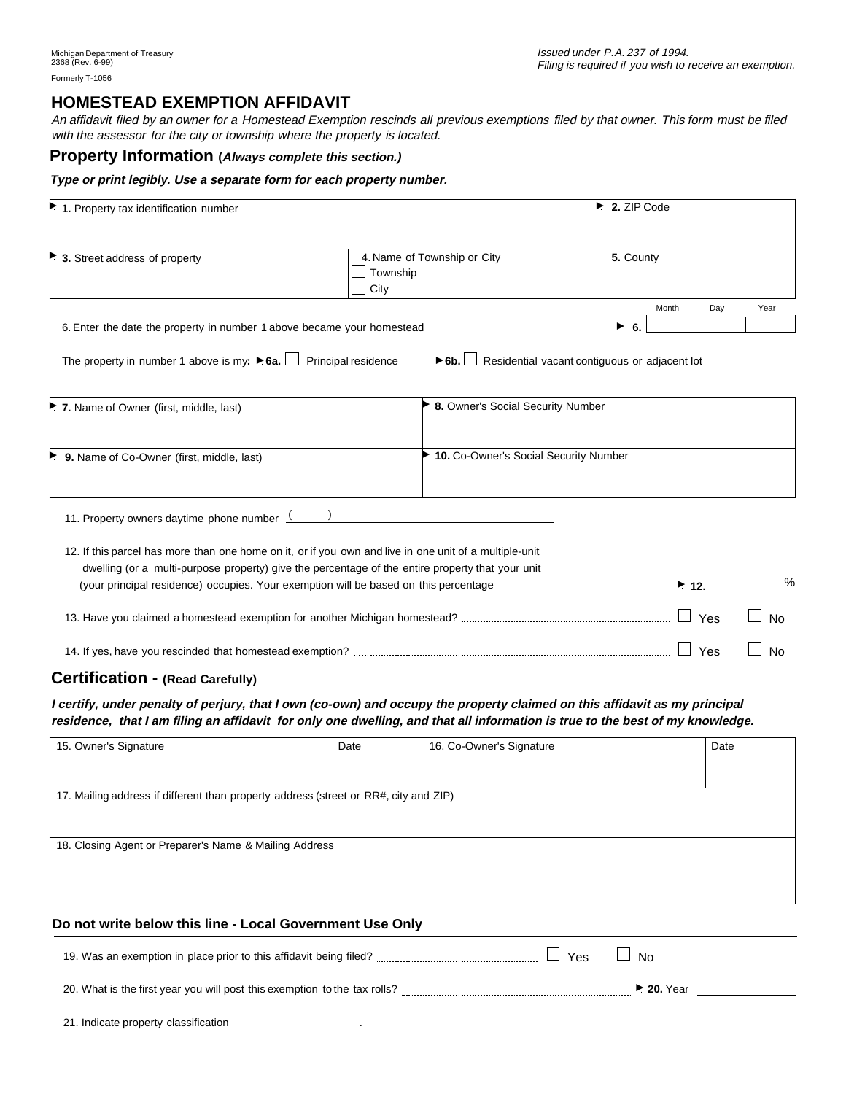# **HOMESTEAD EXEMPTION AFFIDAVIT**

An affidavit filed by an owner for a Homestead Exemption rescinds all previous exemptions filed by that owner. This form must be filed with the assessor for the city or township where the property is located.

#### **Property Information (Always complete this section.)**

#### **Type or print legibly. Use a separate form for each property number.**

| 1. Property tax identification number                                                 |                                                                                                                                                                                                            | 2. ZIP Code                                                               |                         |
|---------------------------------------------------------------------------------------|------------------------------------------------------------------------------------------------------------------------------------------------------------------------------------------------------------|---------------------------------------------------------------------------|-------------------------|
| 3. Street address of property                                                         | 4. Name of Township or City<br>Township<br>City                                                                                                                                                            | 5. County                                                                 |                         |
|                                                                                       |                                                                                                                                                                                                            | Month<br>▶<br>- 6.                                                        | Year<br>Day             |
| The property in number 1 above is my: $\triangleright$ 6a. $\Box$ Principal residence |                                                                                                                                                                                                            | $\triangleright$ 6b. $\Box$ Residential vacant contiguous or adjacent lot |                         |
| 7. Name of Owner (first, middle, last)                                                | ▶ 8. Owner's Social Security Number                                                                                                                                                                        |                                                                           |                         |
| 9. Name of Co-Owner (first, middle, last)                                             |                                                                                                                                                                                                            | 10. Co-Owner's Social Security Number                                     |                         |
| 11. Property owners daytime phone number $\frac{($                                    |                                                                                                                                                                                                            |                                                                           |                         |
|                                                                                       | 12. If this parcel has more than one home on it, or if you own and live in one unit of a multiple-unit<br>dwelling (or a multi-purpose property) give the percentage of the entire property that your unit |                                                                           | $\%$                    |
|                                                                                       |                                                                                                                                                                                                            |                                                                           | Yes<br>No               |
|                                                                                       |                                                                                                                                                                                                            |                                                                           | $\Box$ Yes<br><b>No</b> |

#### **Certification - (Read Carefully)**

**I certify, under penalty of perjury, that I own (co-own) and occupy the property claimed on this affidavit as my principal residence, that I am filing an affidavit for only one dwelling, and that all information is true to the best of my knowledge.**

| 15. Owner's Signature                                                                | Date | 16. Co-Owner's Signature | Date |  |  |
|--------------------------------------------------------------------------------------|------|--------------------------|------|--|--|
|                                                                                      |      |                          |      |  |  |
|                                                                                      |      |                          |      |  |  |
| 17. Mailing address if different than property address (street or RR#, city and ZIP) |      |                          |      |  |  |
|                                                                                      |      |                          |      |  |  |
|                                                                                      |      |                          |      |  |  |
| 18. Closing Agent or Preparer's Name & Mailing Address                               |      |                          |      |  |  |
|                                                                                      |      |                          |      |  |  |
|                                                                                      |      |                          |      |  |  |
|                                                                                      |      |                          |      |  |  |
|                                                                                      |      |                          |      |  |  |
| Do not write below this line - Local Government Use Only                             |      |                          |      |  |  |

19. Was an exemption in place prior to this affidavit being filed? 20. What is the first year you will post this exemption to the tax rolls? ▲ **20.** Year  $\Box$  No

21. Indicate property classification \_